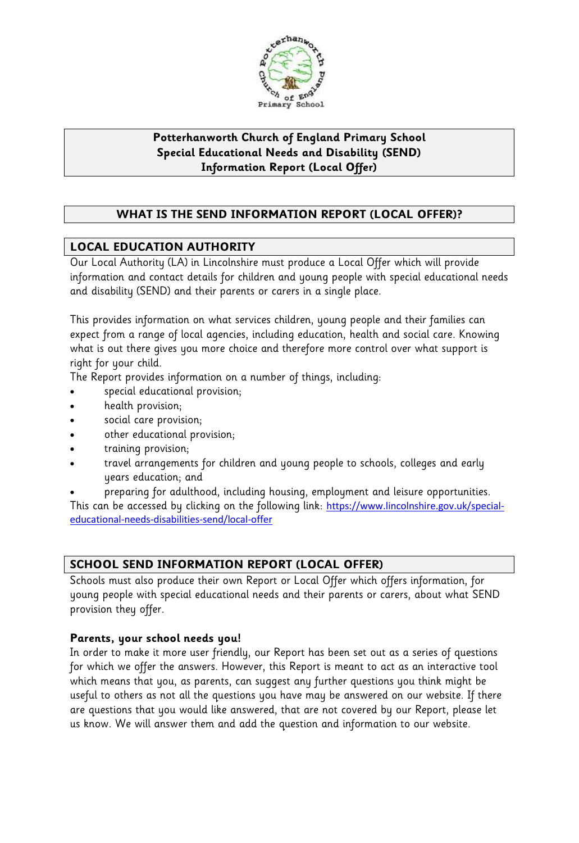

## **Potterhanworth Church of England Primary School Special Educational Needs and Disability (SEND) Information Report (Local Offer)**

# **WHAT IS THE SEND INFORMATION REPORT (LOCAL OFFER)?**

# **LOCAL EDUCATION AUTHORITY**

Our Local Authority (LA) in Lincolnshire must produce a Local Offer which will provide information and contact details for children and young people with special educational needs and disability (SEND) and their parents or carers in a single place.

This provides information on what services children, young people and their families can expect from a range of local agencies, including education, health and social care. Knowing what is out there gives you more choice and therefore more control over what support is right for your child.

The Report provides information on a number of things, including:

- special educational provision;
- health provision;
- social care provision;
- other educational provision;
- training provision;
- travel arrangements for children and young people to schools, colleges and early years education; and
- preparing for adulthood, including housing, employment and leisure opportunities.

This can be accessed by clicking on the following link: [https://www.lincolnshire.gov.uk/special](https://www.lincolnshire.gov.uk/special-educational-needs-disabilities-send/local-offer)[educational-needs-disabilities-send/local-offer](https://www.lincolnshire.gov.uk/special-educational-needs-disabilities-send/local-offer)

### **SCHOOL SEND INFORMATION REPORT (LOCAL OFFER)**

Schools must also produce their own Report or Local Offer which offers information, for young people with special educational needs and their parents or carers, about what SEND provision they offer.

### **Parents, your school needs you!**

In order to make it more user friendly, our Report has been set out as a series of questions for which we offer the answers. However, this Report is meant to act as an interactive tool which means that you, as parents, can suggest any further questions you think might be useful to others as not all the questions you have may be answered on our website. If there are questions that you would like answered, that are not covered by our Report, please let us know. We will answer them and add the question and information to our website.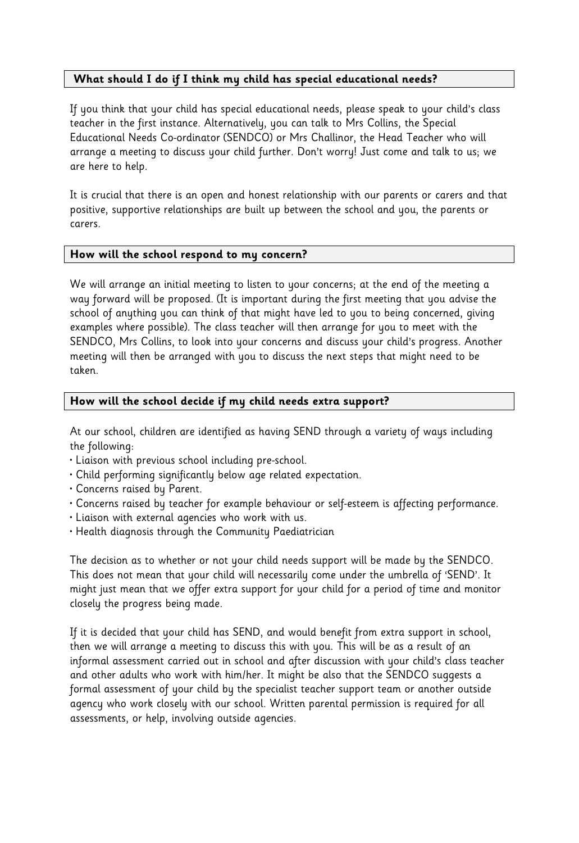### **What should I do if I think my child has special educational needs?**

If you think that your child has special educational needs, please speak to your child's class teacher in the first instance. Alternatively, you can talk to Mrs Collins, the Special Educational Needs Co-ordinator (SENDCO) or Mrs Challinor, the Head Teacher who will arrange a meeting to discuss your child further. Don't worry! Just come and talk to us; we are here to help.

It is crucial that there is an open and honest relationship with our parents or carers and that positive, supportive relationships are built up between the school and you, the parents or carers.

#### **How will the school respond to my concern?**

We will arrange an initial meeting to listen to your concerns; at the end of the meeting a way forward will be proposed. (It is important during the first meeting that you advise the school of anything you can think of that might have led to you to being concerned, giving examples where possible). The class teacher will then arrange for you to meet with the SENDCO, Mrs Collins, to look into your concerns and discuss your child's progress. Another meeting will then be arranged with you to discuss the next steps that might need to be taken.

#### **How will the school decide if my child needs extra support?**

At our school, children are identified as having SEND through a variety of ways including the following:

- Liaison with previous school including pre-school.
- Child performing significantly below age related expectation.
- Concerns raised by Parent.
- Concerns raised by teacher for example behaviour or self-esteem is affecting performance.
- Liaison with external agencies who work with us.
- Health diagnosis through the Community Paediatrician

The decision as to whether or not your child needs support will be made by the SENDCO. This does not mean that your child will necessarily come under the umbrella of 'SEND'. It might just mean that we offer extra support for your child for a period of time and monitor closely the progress being made.

If it is decided that your child has SEND, and would benefit from extra support in school, then we will arrange a meeting to discuss this with you. This will be as a result of an informal assessment carried out in school and after discussion with your child's class teacher and other adults who work with him/her. It might be also that the SENDCO suggests a formal assessment of your child by the specialist teacher support team or another outside agency who work closely with our school. Written parental permission is required for all assessments, or help, involving outside agencies.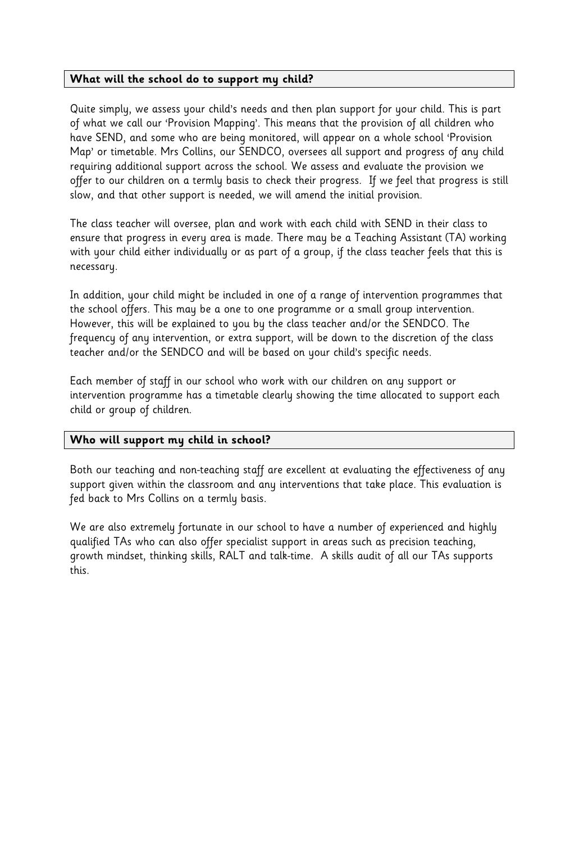#### **What will the school do to support my child?**

Quite simply, we assess your child's needs and then plan support for your child. This is part of what we call our 'Provision Mapping'. This means that the provision of all children who have SEND, and some who are being monitored, will appear on a whole school 'Provision Map' or timetable. Mrs Collins, our SENDCO, oversees all support and progress of any child requiring additional support across the school. We assess and evaluate the provision we offer to our children on a termly basis to check their progress. If we feel that progress is still slow, and that other support is needed, we will amend the initial provision.

The class teacher will oversee, plan and work with each child with SEND in their class to ensure that progress in every area is made. There may be a Teaching Assistant (TA) working with your child either individually or as part of a group, if the class teacher feels that this is necessary.

In addition, your child might be included in one of a range of intervention programmes that the school offers. This may be a one to one programme or a small group intervention. However, this will be explained to you by the class teacher and/or the SENDCO. The frequency of any intervention, or extra support, will be down to the discretion of the class teacher and/or the SENDCO and will be based on your child's specific needs.

Each member of staff in our school who work with our children on any support or intervention programme has a timetable clearly showing the time allocated to support each child or group of children.

#### **Who will support my child in school?**

Both our teaching and non-teaching staff are excellent at evaluating the effectiveness of any support given within the classroom and any interventions that take place. This evaluation is fed back to Mrs Collins on a termly basis.

We are also extremely fortunate in our school to have a number of experienced and highly qualified TAs who can also offer specialist support in areas such as precision teaching, growth mindset, thinking skills, RALT and talk-time. A skills audit of all our TAs supports this.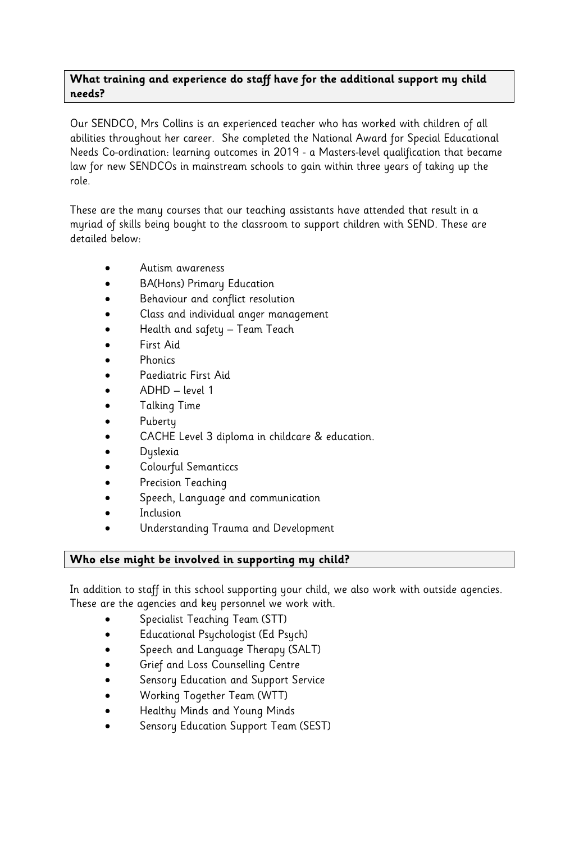### **What training and experience do staff have for the additional support my child needs?**

Our SENDCO, Mrs Collins is an experienced teacher who has worked with children of all abilities throughout her career. She completed the National Award for Special Educational Needs Co-ordination: learning outcomes in 2019 - a Masters-level qualification that became law for new SENDCOs in mainstream schools to gain within three years of taking up the role.

These are the many courses that our teaching assistants have attended that result in a myriad of skills being bought to the classroom to support children with SEND. These are detailed below:

- Autism awareness
- BA(Hons) Primary Education
- Behaviour and conflict resolution
- Class and individual anger management
- Health and safety Team Teach
- First Aid
- Phonics
- Paediatric First Aid
- ADHD level 1
- Talking Time
- Puberty
- CACHE Level 3 diploma in childcare & education.
- Dyslexia
- Colourful Semanticcs
- Precision Teaching
- Speech, Language and communication
- Inclusion
- Understanding Trauma and Development

### **Who else might be involved in supporting my child?**

In addition to staff in this school supporting your child, we also work with outside agencies. These are the agencies and key personnel we work with.

- Specialist Teaching Team (STT)
- Educational Psychologist (Ed Psych)
- Speech and Language Therapy (SALT)
- Grief and Loss Counselling Centre
- Sensory Education and Support Service
- Working Together Team (WTT)
- Healthy Minds and Young Minds
- Sensory Education Support Team (SEST)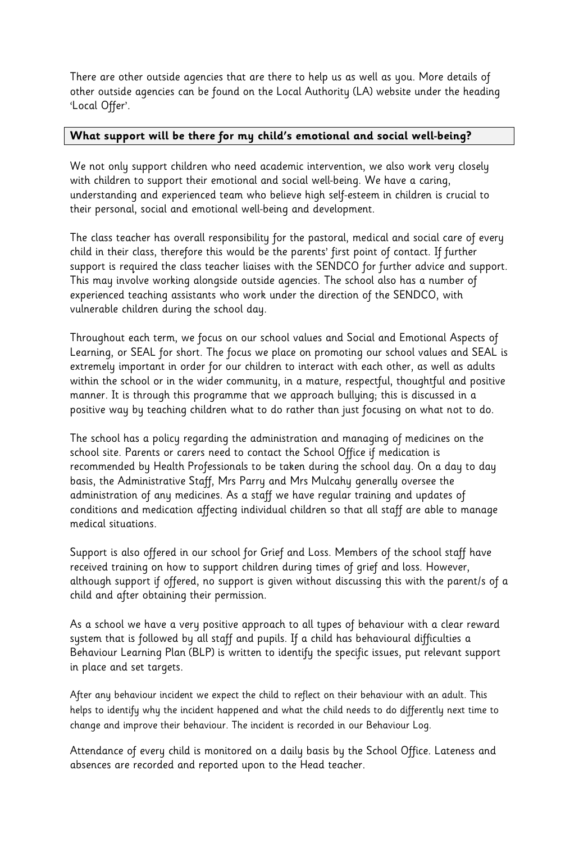There are other outside agencies that are there to help us as well as you. More details of other outside agencies can be found on the Local Authority (LA) website under the heading 'Local Offer'.

### **What support will be there for my child's emotional and social well-being?**

We not only support children who need academic intervention, we also work very closely with children to support their emotional and social well-being. We have a caring, understanding and experienced team who believe high self-esteem in children is crucial to their personal, social and emotional well-being and development.

The class teacher has overall responsibility for the pastoral, medical and social care of every child in their class, therefore this would be the parents' first point of contact. If further support is required the class teacher liaises with the SENDCO for further advice and support. This may involve working alongside outside agencies. The school also has a number of experienced teaching assistants who work under the direction of the SENDCO, with vulnerable children during the school day.

Throughout each term, we focus on our school values and Social and Emotional Aspects of Learning, or SEAL for short. The focus we place on promoting our school values and SEAL is extremely important in order for our children to interact with each other, as well as adults within the school or in the wider community, in a mature, respectful, thoughtful and positive manner. It is through this programme that we approach bullying; this is discussed in a positive way by teaching children what to do rather than just focusing on what not to do.

The school has a policy regarding the administration and managing of medicines on the school site. Parents or carers need to contact the School Office if medication is recommended by Health Professionals to be taken during the school day. On a day to day basis, the Administrative Staff, Mrs Parry and Mrs Mulcahy generally oversee the administration of any medicines. As a staff we have regular training and updates of conditions and medication affecting individual children so that all staff are able to manage medical situations.

Support is also offered in our school for Grief and Loss. Members of the school staff have received training on how to support children during times of grief and loss. However, although support if offered, no support is given without discussing this with the parent/s of a child and after obtaining their permission.

As a school we have a very positive approach to all types of behaviour with a clear reward system that is followed by all staff and pupils. If a child has behavioural difficulties a Behaviour Learning Plan (BLP) is written to identify the specific issues, put relevant support in place and set targets.

After any behaviour incident we expect the child to reflect on their behaviour with an adult. This helps to identify why the incident happened and what the child needs to do differently next time to change and improve their behaviour. The incident is recorded in our Behaviour Log.

Attendance of every child is monitored on a daily basis by the School Office. Lateness and absences are recorded and reported upon to the Head teacher.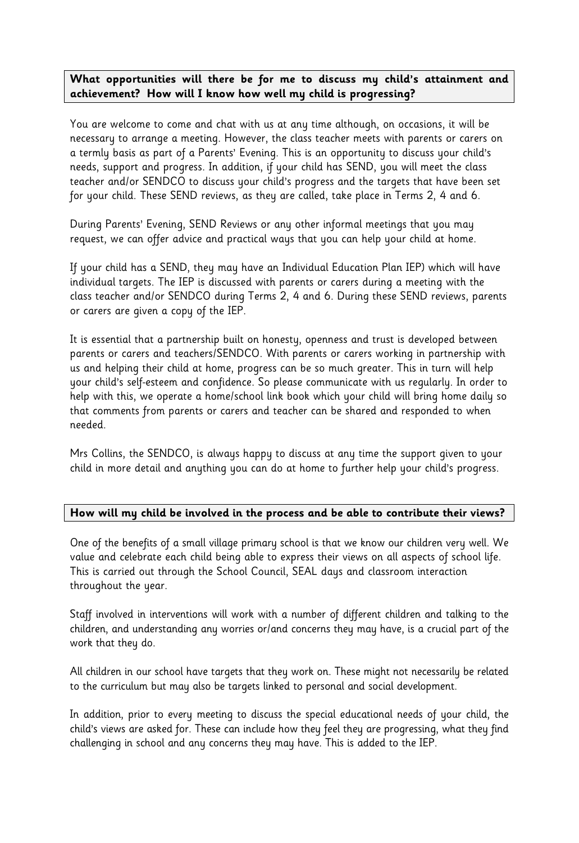### **What opportunities will there be for me to discuss my child's attainment and achievement? How will I know how well my child is progressing?**

You are welcome to come and chat with us at any time although, on occasions, it will be necessary to arrange a meeting. However, the class teacher meets with parents or carers on a termly basis as part of a Parents' Evening. This is an opportunity to discuss your child's needs, support and progress. In addition, if your child has SEND, you will meet the class teacher and/or SENDCO to discuss your child's progress and the targets that have been set for your child. These SEND reviews, as they are called, take place in Terms 2, 4 and 6.

During Parents' Evening, SEND Reviews or any other informal meetings that you may request, we can offer advice and practical ways that you can help your child at home.

If your child has a SEND, they may have an Individual Education Plan IEP) which will have individual targets. The IEP is discussed with parents or carers during a meeting with the class teacher and/or SENDCO during Terms 2, 4 and 6. During these SEND reviews, parents or carers are given a copy of the IEP.

It is essential that a partnership built on honesty, openness and trust is developed between parents or carers and teachers/SENDCO. With parents or carers working in partnership with us and helping their child at home, progress can be so much greater. This in turn will help your child's self-esteem and confidence. So please communicate with us regularly. In order to help with this, we operate a home/school link book which your child will bring home daily so that comments from parents or carers and teacher can be shared and responded to when needed.

Mrs Collins, the SENDCO, is always happy to discuss at any time the support given to your child in more detail and anything you can do at home to further help your child's progress.

### **How will my child be involved in the process and be able to contribute their views?**

One of the benefits of a small village primary school is that we know our children very well. We value and celebrate each child being able to express their views on all aspects of school life. This is carried out through the School Council, SEAL days and classroom interaction throughout the year.

Staff involved in interventions will work with a number of different children and talking to the children, and understanding any worries or/and concerns they may have, is a crucial part of the work that they do.

All children in our school have targets that they work on. These might not necessarily be related to the curriculum but may also be targets linked to personal and social development.

In addition, prior to every meeting to discuss the special educational needs of your child, the child's views are asked for. These can include how they feel they are progressing, what they find challenging in school and any concerns they may have. This is added to the IEP.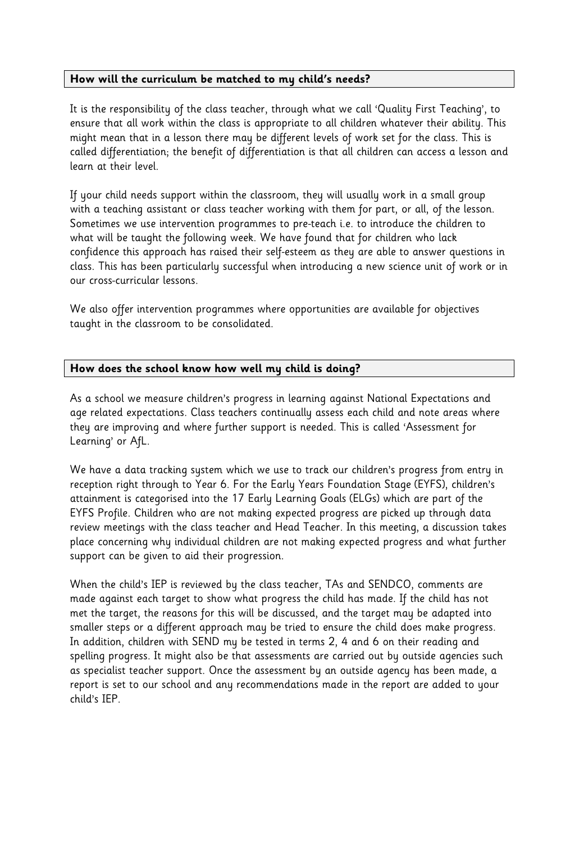#### **How will the curriculum be matched to my child's needs?**

It is the responsibility of the class teacher, through what we call 'Quality First Teaching', to ensure that all work within the class is appropriate to all children whatever their ability. This might mean that in a lesson there may be different levels of work set for the class. This is called differentiation; the benefit of differentiation is that all children can access a lesson and learn at their level.

If your child needs support within the classroom, they will usually work in a small group with a teaching assistant or class teacher working with them for part, or all, of the lesson. Sometimes we use intervention programmes to pre-teach i.e. to introduce the children to what will be taught the following week. We have found that for children who lack confidence this approach has raised their self-esteem as they are able to answer questions in class. This has been particularly successful when introducing a new science unit of work or in our cross-curricular lessons.

We also offer intervention programmes where opportunities are available for objectives taught in the classroom to be consolidated.

#### **How does the school know how well my child is doing?**

As a school we measure children's progress in learning against National Expectations and age related expectations. Class teachers continually assess each child and note areas where they are improving and where further support is needed. This is called 'Assessment for Learning' or AfL.

We have a data tracking system which we use to track our children's progress from entry in reception right through to Year 6. For the Early Years Foundation Stage (EYFS), children's attainment is categorised into the 17 Early Learning Goals (ELGs) which are part of the EYFS Profile. Children who are not making expected progress are picked up through data review meetings with the class teacher and Head Teacher. In this meeting, a discussion takes place concerning why individual children are not making expected progress and what further support can be given to aid their progression.

When the child's IEP is reviewed by the class teacher, TAs and SENDCO, comments are made against each target to show what progress the child has made. If the child has not met the target, the reasons for this will be discussed, and the target may be adapted into smaller steps or a different approach may be tried to ensure the child does make progress. In addition, children with SEND my be tested in terms 2, 4 and 6 on their reading and spelling progress. It might also be that assessments are carried out by outside agencies such as specialist teacher support. Once the assessment by an outside agency has been made, a report is set to our school and any recommendations made in the report are added to your child's IEP.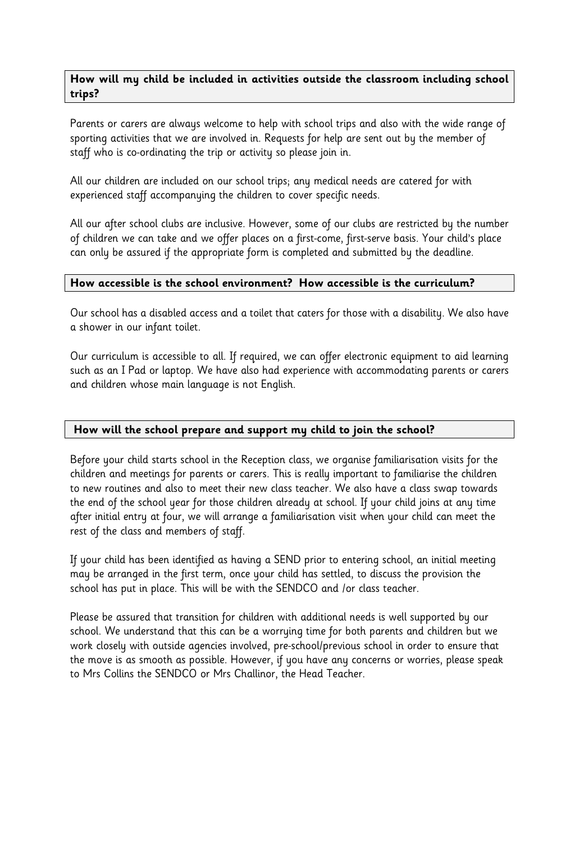### **How will my child be included in activities outside the classroom including school trips?**

Parents or carers are always welcome to help with school trips and also with the wide range of sporting activities that we are involved in. Requests for help are sent out by the member of staff who is co-ordinating the trip or activity so please join in.

All our children are included on our school trips; any medical needs are catered for with experienced staff accompanying the children to cover specific needs.

All our after school clubs are inclusive. However, some of our clubs are restricted by the number of children we can take and we offer places on a first-come, first-serve basis. Your child's place can only be assured if the appropriate form is completed and submitted by the deadline.

#### **How accessible is the school environment? How accessible is the curriculum?**

Our school has a disabled access and a toilet that caters for those with a disability. We also have a shower in our infant toilet.

Our curriculum is accessible to all. If required, we can offer electronic equipment to aid learning such as an I Pad or laptop. We have also had experience with accommodating parents or carers and children whose main language is not English.

#### **How will the school prepare and support my child to join the school?**

Before your child starts school in the Reception class, we organise familiarisation visits for the children and meetings for parents or carers. This is really important to familiarise the children to new routines and also to meet their new class teacher. We also have a class swap towards the end of the school year for those children already at school. If your child joins at any time after initial entry at four, we will arrange a familiarisation visit when your child can meet the rest of the class and members of staff.

If your child has been identified as having a SEND prior to entering school, an initial meeting may be arranged in the first term, once your child has settled, to discuss the provision the school has put in place. This will be with the SENDCO and /or class teacher.

Please be assured that transition for children with additional needs is well supported by our school. We understand that this can be a worrying time for both parents and children but we work closely with outside agencies involved, pre-school/previous school in order to ensure that the move is as smooth as possible. However, if you have any concerns or worries, please speak to Mrs Collins the SENDCO or Mrs Challinor, the Head Teacher.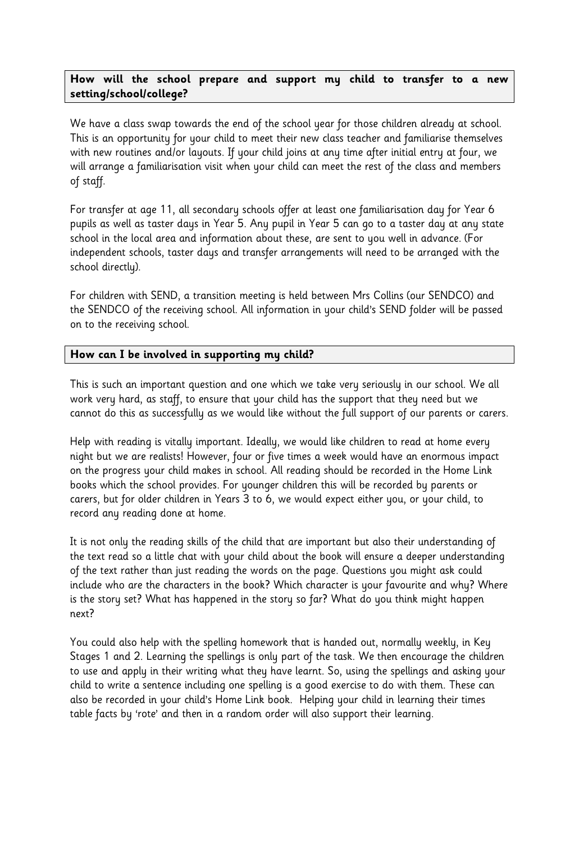### **How will the school prepare and support my child to transfer to a new setting/school/college?**

We have a class swap towards the end of the school year for those children already at school. This is an opportunity for your child to meet their new class teacher and familiarise themselves with new routines and/or layouts. If your child joins at any time after initial entry at four, we will arrange a familiarisation visit when your child can meet the rest of the class and members of staff.

For transfer at age 11, all secondary schools offer at least one familiarisation day for Year 6 pupils as well as taster days in Year 5. Any pupil in Year 5 can go to a taster day at any state school in the local area and information about these, are sent to you well in advance. (For independent schools, taster days and transfer arrangements will need to be arranged with the school directly).

For children with SEND, a transition meeting is held between Mrs Collins (our SENDCO) and the SENDCO of the receiving school. All information in your child's SEND folder will be passed on to the receiving school.

### **How can I be involved in supporting my child?**

This is such an important question and one which we take very seriously in our school. We all work very hard, as staff, to ensure that your child has the support that they need but we cannot do this as successfully as we would like without the full support of our parents or carers.

Help with reading is vitally important. Ideally, we would like children to read at home every night but we are realists! However, four or five times a week would have an enormous impact on the progress your child makes in school. All reading should be recorded in the Home Link books which the school provides. For younger children this will be recorded by parents or carers, but for older children in Years 3 to 6, we would expect either you, or your child, to record any reading done at home.

It is not only the reading skills of the child that are important but also their understanding of the text read so a little chat with your child about the book will ensure a deeper understanding of the text rather than just reading the words on the page. Questions you might ask could include who are the characters in the book? Which character is your favourite and why? Where is the story set? What has happened in the story so far? What do you think might happen next?

You could also help with the spelling homework that is handed out, normally weekly, in Key Stages 1 and 2. Learning the spellings is only part of the task. We then encourage the children to use and apply in their writing what they have learnt. So, using the spellings and asking your child to write a sentence including one spelling is a good exercise to do with them. These can also be recorded in your child's Home Link book. Helping your child in learning their times table facts by 'rote' and then in a random order will also support their learning.